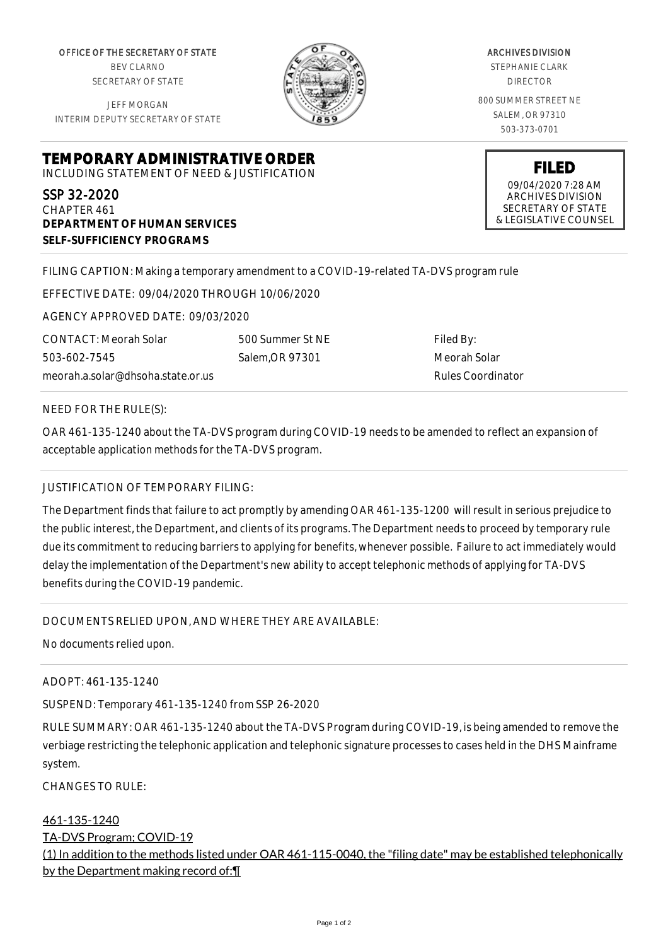OFFICE OF THE SECRETARY OF STATE BEV CLARNO SECRETARY OF STATE

JEFF MORGAN INTERIM DEPUTY SECRETARY OF STATE

**DEPARTMENT OF HUMAN SERVICES**

**SELF-SUFFICIENCY PROGRAMS**

ARCHIVES DIVISION STEPHANIE CLARK DIRECTOR 800 SUMMER STREET NE SALEM, OR 97310 503-373-0701

> **FILED** 09/04/2020 7:28 AM ARCHIVES DIVISION SECRETARY OF STATE & LEGISLATIVE COUNSEL

FILING CAPTION: Making a temporary amendment to a COVID-19-related TA-DVS program rule

EFFECTIVE DATE: 09/04/2020 THROUGH 10/06/2020

**TEMPORARY ADMINISTRATIVE ORDER** INCLUDING STATEMENT OF NEED & JUSTIFICATION

AGENCY APPROVED DATE: 09/03/2020

meorah.a.solar@dhsoha.state.or.us 500 Summer St NE Salem,OR 97301

Filed By: Meorah Solar Rules Coordinator

NEED FOR THE RULE(S):

CONTACT: Meorah Solar

503-602-7545

SSP 32-2020 CHAPTER 461

OAR 461-135-1240 about the TA-DVS program during COVID-19 needs to be amended to reflect an expansion of acceptable application methods for the TA-DVS program.

## JUSTIFICATION OF TEMPORARY FILING:

The Department finds that failure to act promptly by amending OAR 461-135-1200 will result in serious prejudice to the public interest, the Department, and clients of its programs. The Department needs to proceed by temporary rule due its commitment to reducing barriers to applying for benefits, whenever possible. Failure to act immediately would delay the implementation of the Department's new ability to accept telephonic methods of applying for TA-DVS benefits during the COVID-19 pandemic.

DOCUMENTS RELIED UPON, AND WHERE THEY ARE AVAILABLE:

No documents relied upon.

ADOPT: 461-135-1240

SUSPEND: Temporary 461-135-1240 from SSP 26-2020

RULE SUMMARY: OAR 461-135-1240 about the TA-DVS Program during COVID-19, is being amended to remove the verbiage restricting the telephonic application and telephonic signature processes to cases held in the DHS Mainframe system.

 $CHANGFS TO RIIF$ 

## 461-135-1240

TA-DVS Program; COVID-19

(1) In addition to the methods listed under OAR 461-115-0040, the "filing date" may be established telephonically by the Department making record of:¶